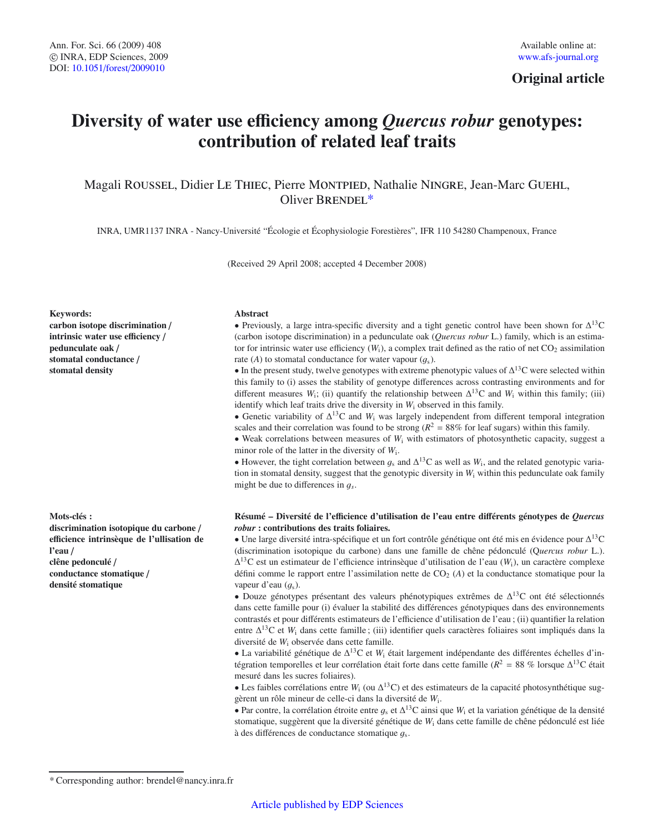# **Original article**

# **Diversity of water use e**ffi**ciency among** *Quercus robur* **genotypes: contribution of related leaf traits**

Magali Roussel, Didier Le Thiec, Pierre Montpied, Nathalie Ningre, Jean-Marc Guehl, Oliver BRENDEL\*

INRA, UMR1137 INRA - Nancy-Université "Écologie et Écophysiologie Forestières", IFR 110 54280 Champenoux, France

(Received 29 April 2008; accepted 4 December 2008)

#### **Keywords:**

**carbon isotope discrimination** / **intrinsic water use e**ffi**ciency** / **pedunculate oak** / **stomatal conductance** / **stomatal density**

#### **Mots-clés :**

**discrimination isotopique du carbone** / **e**ffi**cience intrinsèque de l'ullisation de l'eau** / **clêne pedonculé** / **conductance stomatique** / **densité stomatique**

#### **Abstract**

• Previously, a large intra-specific diversity and a tight genetic control have been shown for  $\Delta^{13}$ C (carbon isotope discrimination) in a pedunculate oak (*Quercus robur* L.) family, which is an estimator for intrinsic water use efficiency  $(W_i)$ , a complex trait defined as the ratio of net  $CO_2$  assimilation rate (*A*) to stomatal conductance for water vapour  $(q_s)$ .

• In the present study, twelve genotypes with extreme phenotypic values of  $\Delta^{13}$ C were selected within this family to (i) asses the stability of genotype differences across contrasting environments and for different measures  $W_i$ ; (ii) quantify the relationship between  $\Delta^{13}C$  and  $W_i$  within this family; (iii) identify which leaf traits drive the diversity in *W*<sup>i</sup> observed in this family.

• Genetic variability of  $\Delta^{13}C$  and *W*<sub>i</sub> was largely independent from different temporal integration scales and their correlation was found to be strong ( $R^2 = 88\%$  for leaf sugars) within this family.

• Weak correlations between measures of *W*<sub>i</sub> with estimators of photosynthetic capacity, suggest a minor role of the latter in the diversity of  $W_i$ .

• However, the tight correlation between  $g_s$  and  $\Delta^{13}$ C as well as  $W_i$ , and the related genotypic variation in stomatal density, suggest that the genotypic diversity in *W*<sup>i</sup> within this pedunculate oak family might be due to differences in <sup>g</sup>*<sup>s</sup>*.

## **Résumé – Diversité de l'e**ffi**cience d'utilisation de l'eau entre di**ff**érents génotypes de** *Quercus robur* **: contributions des traits foliaires.**

• Une large diversité intra-spécifique et un fort contrôle génétique ont été mis en évidence pour Δ13C (discrimination isotopique du carbone) dans une famille de chêne pédonculé (Q*uercus robur* L.). Δ13C est un estimateur de l'efficience intrinsèque d'utilisation de l'eau (*W*i), un caractère complexe défini comme le rapport entre l'assimilation nette de CO2 (*A*) et la conductance stomatique pour la vapeur d'eau  $(q_s)$ .

• Douze génotypes présentant des valeurs phénotypiques extrêmes de  $\Delta^{13}$ C ont été sélectionnés dans cette famille pour (i) évaluer la stabilité des différences génotypiques dans des environnements contrastés et pour différents estimateurs de l'efficience d'utilisation de l'eau ; (ii) quantifier la relation entre Δ13C et *W*<sup>i</sup> dans cette famille ; (iii) identifier quels caractères foliaires sont impliqués dans la diversité de *W*<sup>i</sup> observée dans cette famille.

• La variabilité génétique de Δ13C et *W*<sup>i</sup> était largement indépendante des différentes échelles d'intégration temporelles et leur corrélation était forte dans cette famille ( $R^2 = 88$  % lorsque  $\Delta^{13}$ C était mesuré dans les sucres foliaires).

• Les faibles corrélations entre *W*<sub>i</sub> (ou  $\Delta^{13}$ C) et des estimateurs de la capacité photosynthétique suggèrent un rôle mineur de celle-ci dans la diversité de *W*i.

• Par contre, la corrélation étroite entre  $g_s$  et  $\Delta^{13}$ C ainsi que  $W_i$  et la variation génétique de la densité stomatique, suggèrent que la diversité génétique de *W*<sup>i</sup> dans cette famille de chêne pédonculé est liée à des différences de conductance stomatique <sup>g</sup>s.

<sup>\*</sup> Corresponding author: brendel@nancy.inra.fr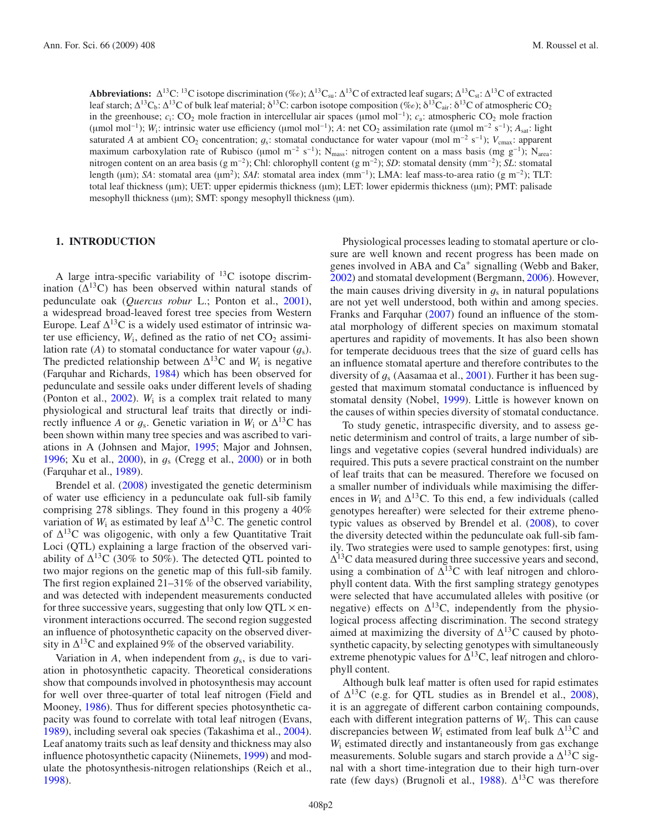**Abbreviations:**  $\Delta^{13}C$ : <sup>13</sup>C isotope discrimination (%e);  $\Delta^{13}C_{su}$ :  $\Delta^{13}C$  of extracted leaf sugars;  $\Delta^{13}C_{st}$ :  $\Delta^{13}C$  of extracted leaf starch; Δ<sup>13</sup>C<sub>b</sub>: Δ<sup>13</sup>C of bulk leaf material; δ<sup>13</sup>C: carbon isotope composition (‰); δ<sup>13</sup>C<sub>air</sub>: δ<sup>13</sup>C of atmospheric CO<sub>2</sub> in the greenhouse;  $c_i$ : CO<sub>2</sub> mole fraction in intercellular air spaces (µmol mol<sup>−1</sup>);  $c_a$ : atmospheric CO<sub>2</sub> mole fraction (umol mol<sup>-1</sup>); *W*<sub>i</sub>: intrinsic water use efficiency (µmol mol<sup>-1</sup>); *A*: net CO<sub>2</sub> assimilation rate (µmol m<sup>-2</sup> s<sup>-1</sup>); *A*<sub>sat</sub>: light saturated *A* at ambient CO<sub>2</sub> concentration;  $q_s$ : stomatal conductance for water vapour (mol m<sup>-2</sup> s<sup>-1</sup>);  $V_{\text{cmax}}$ : apparent maximum carboxylation rate of Rubisco (µmol m<sup>-2</sup> s<sup>-1</sup>); N<sub>mass</sub>: nitrogen content on a mass basis (mg g<sup>-1</sup>); N<sub>area</sub>: nitrogen content on an area basis (g m−2); Chl: chlorophyll content (g m−2); *SD*: stomatal density (mm−2); *SL*: stomatal length (μm); *SA*: stomatal area (μm2); *SAI*: stomatal area index (mm−1); LMA: leaf mass-to-area ratio (g m−2); TLT: total leaf thickness (μm); UET: upper epidermis thickness (μm); LET: lower epidermis thickness (μm); PMT: palisade mesophyll thickness (μm); SMT: spongy mesophyll thickness (μm).

## **1. INTRODUCTION**

A large intra-specific variability of  $^{13}$ C isotope discrimination  $(\Delta^{13}C)$  has been observed within natural stands of pedunculate oak (*Quercus robur* L.; Ponton et al., [2001\)](#page-9-0), a widespread broad-leaved forest tree species from Western Europe. Leaf  $\Delta^{13}$ C is a widely used estimator of intrinsic water use efficiency,  $W_i$ , defined as the ratio of net  $CO_2$  assimilation rate (*A*) to stomatal conductance for water vapour  $(q_s)$ . The predicted relationship between  $\Delta^{13}$ C and *W*<sub>i</sub> is negative (Farquhar and Richards, [1984\)](#page-8-0) which has been observed for pedunculate and sessile oaks under different levels of shading (Ponton et al., [2002\)](#page-9-1). *W*<sup>i</sup> is a complex trait related to many physiological and structural leaf traits that directly or indirectly influence *A* or  $q_s$ . Genetic variation in  $W_i$  or  $\Delta^{13}$ C has been shown within many tree species and was ascribed to variations in A (Johnsen and Major, [1995;](#page-9-2) Major and Johnsen, [1996;](#page-9-3) Xu et al., [2000\)](#page-8-1), in  $q_s$  (Cregg et al., 2000) or in both (Farquhar et al., [1989\)](#page-8-2).

Brendel et al. [\(2008](#page-8-3)) investigated the genetic determinism of water use efficiency in a pedunculate oak full-sib family comprising 278 siblings. They found in this progeny a 40% variation of  $W_i$  as estimated by leaf  $\Delta^{13}$ C. The genetic control of  $\Delta^{13}$ C was oligogenic, with only a few Quantitative Trait Loci (QTL) explaining a large fraction of the observed variability of  $\Delta^{13}$ C (30% to 50%). The detected QTL pointed to two major regions on the genetic map of this full-sib family. The first region explained 21–31% of the observed variability, and was detected with independent measurements conducted for three successive years, suggesting that only low  $QTL \times en$ vironment interactions occurred. The second region suggested an influence of photosynthetic capacity on the observed diversity in  $\Delta^{13}$ C and explained 9% of the observed variability.

Variation in  $A$ , when independent from  $q_s$ , is due to variation in photosynthetic capacity. Theoretical considerations show that compounds involved in photosynthesis may account for well over three-quarter of total leaf nitrogen (Field and Mooney, [1986\)](#page-8-4). Thus for different species photosynthetic capacity was found to correlate with total leaf nitrogen (Evans, [1989\)](#page-8-5), including several oak species (Takashima et al., [2004\)](#page-9-5). Leaf anatomy traits such as leaf density and thickness may also influence photosynthetic capacity (Niinemets, [1999\)](#page-9-6) and modulate the photosynthesis-nitrogen relationships (Reich et al., [1998\)](#page-9-7).

Physiological processes leading to stomatal aperture or closure are well known and recent progress has been made on genes involved in ABA and  $Ca^+$  signalling (Webb and Baker, [2002\)](#page-9-8) and stomatal development (Bergmann, [2006\)](#page-8-6). However, the main causes driving diversity in  $q_s$  in natural populations are not yet well understood, both within and among species. Franks and Farquhar [\(2007](#page-8-7)) found an influence of the stomatal morphology of different species on maximum stomatal apertures and rapidity of movements. It has also been shown for temperate deciduous trees that the size of guard cells has an influence stomatal aperture and therefore contributes to the diversity of  $g_s$  (Aasamaa et al., [2001](#page-8-8)). Further it has been suggested that maximum stomatal conductance is influenced by stomatal density (Nobel, [1999](#page-9-9)). Little is however known on the causes of within species diversity of stomatal conductance.

To study genetic, intraspecific diversity, and to assess genetic determinism and control of traits, a large number of siblings and vegetative copies (several hundred individuals) are required. This puts a severe practical constraint on the number of leaf traits that can be measured. Therefore we focused on a smaller number of individuals while maximising the differences in  $W_i$  and  $\Delta^{13}$ C. To this end, a few individuals (called genotypes hereafter) were selected for their extreme phenotypic values as observed by Brendel et al. [\(2008\)](#page-8-3), to cover the diversity detected within the pedunculate oak full-sib family. Two strategies were used to sample genotypes: first, using  $\Delta^{13}$ C data measured during three successive years and second, using a combination of  $\Delta^{13}$ C with leaf nitrogen and chlorophyll content data. With the first sampling strategy genotypes were selected that have accumulated alleles with positive (or negative) effects on  $\Delta^{13}$ C, independently from the physiological process affecting discrimination. The second strategy aimed at maximizing the diversity of  $\Delta^{13}$ C caused by photosynthetic capacity, by selecting genotypes with simultaneously extreme phenotypic values for  $\Delta^{13}$ C, leaf nitrogen and chlorophyll content.

Although bulk leaf matter is often used for rapid estimates of  $\Delta^{13}$ C (e.g. for QTL studies as in Brendel et al., [2008](#page-8-3)), it is an aggregate of different carbon containing compounds, each with different integration patterns of  $W_i$ . This can cause discrepancies between  $W_i$  estimated from leaf bulk  $\Delta^{13}$ C and *W*<sup>i</sup> estimated directly and instantaneously from gas exchange measurements. Soluble sugars and starch provide a  $\Delta^{13}$ C signal with a short time-integration due to their high turn-over rate (few days) (Brugnoli et al., [1988](#page-8-9)).  $\Delta^{13}$ C was therefore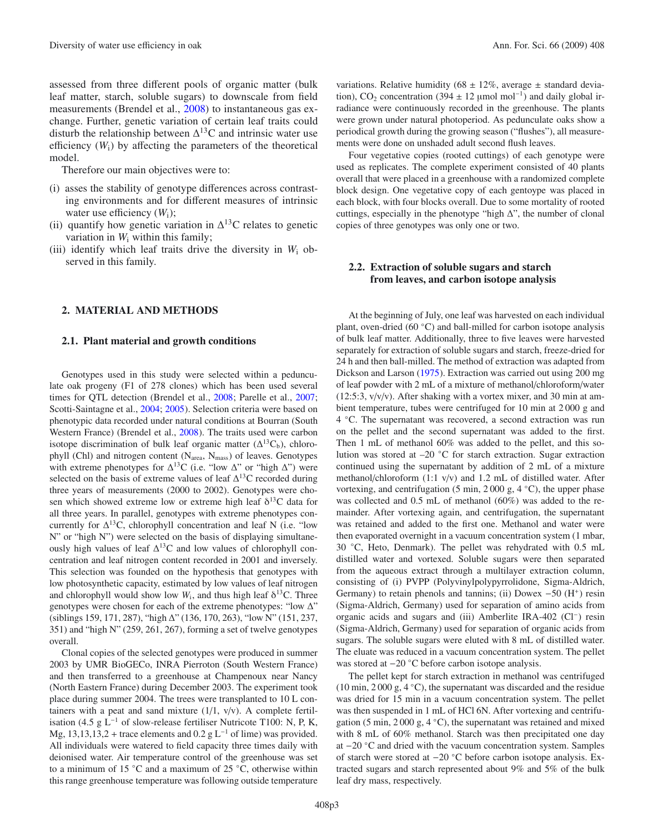assessed from three different pools of organic matter (bulk leaf matter, starch, soluble sugars) to downscale from field measurements (Brendel et al., [2008\)](#page-8-3) to instantaneous gas exchange. Further, genetic variation of certain leaf traits could disturb the relationship between  $\Delta^{13}$ C and intrinsic water use efficiency  $(W_i)$  by affecting the parameters of the theoretical model.

Therefore our main objectives were to:

- (i) asses the stability of genotype differences across contrasting environments and for different measures of intrinsic water use efficiency (*W*i);
- (ii) quantify how genetic variation in  $\Delta^{13}$ C relates to genetic variation in *W*<sup>i</sup> within this family;
- (iii) identify which leaf traits drive the diversity in  $W_i$  observed in this family.

## **2. MATERIAL AND METHODS**

#### **2.1. Plant material and growth conditions**

Genotypes used in this study were selected within a pedunculate oak progeny (F1 of 278 clones) which has been used several times for QTL detection (Brendel et al., [2008](#page-8-3); Parelle et al., [2007](#page-9-10); Scotti-Saintagne et al., [2004;](#page-9-11) [2005\)](#page-9-12). Selection criteria were based on phenotypic data recorded under natural conditions at Bourran (South Western France) (Brendel et al., [2008](#page-8-3)). The traits used were carbon isotope discrimination of bulk leaf organic matter  $(\Delta^{13}C_b)$ , chlorophyll (Chl) and nitrogen content ( $N_{area}$ ,  $N_{mass}$ ) of leaves. Genotypes with extreme phenotypes for  $\Delta^{13}$ C (i.e. "low  $\Delta$ " or "high  $\Delta$ ") were selected on the basis of extreme values of leaf  $\Delta^{13}$ C recorded during three years of measurements (2000 to 2002). Genotypes were chosen which showed extreme low or extreme high leaf  $\delta^{13}$ C data for all three years. In parallel, genotypes with extreme phenotypes concurrently for  $\Delta^{13}$ C, chlorophyll concentration and leaf N (i.e. "low N" or "high N") were selected on the basis of displaying simultaneously high values of leaf  $\Delta^{13}$ C and low values of chlorophyll concentration and leaf nitrogen content recorded in 2001 and inversely. This selection was founded on the hypothesis that genotypes with low photosynthetic capacity, estimated by low values of leaf nitrogen and chlorophyll would show low  $W_i$ , and thus high leaf  $\delta^{13}$ C. Three genotypes were chosen for each of the extreme phenotypes: "low Δ" (siblings 159, 171, 287), "high Δ" (136, 170, 263), "low N" (151, 237, 351) and "high N" (259, 261, 267), forming a set of twelve genotypes overall.

Clonal copies of the selected genotypes were produced in summer 2003 by UMR BioGECo, INRA Pierroton (South Western France) and then transferred to a greenhouse at Champenoux near Nancy (North Eastern France) during December 2003. The experiment took place during summer 2004. The trees were transplanted to 10 L containers with a peat and sand mixture  $(1/1, v/v)$ . A complete fertilisation (4.5 g  $L^{-1}$  of slow-release fertiliser Nutricote T100: N, P, K, Mg, 13,13,13,2 + trace elements and 0.2 g  $L^{-1}$  of lime) was provided. All individuals were watered to field capacity three times daily with deionised water. Air temperature control of the greenhouse was set to a minimum of 15 ◦C and a maximum of 25 ◦C, otherwise within this range greenhouse temperature was following outside temperature

variations. Relative humidity (68  $\pm$  12%, average  $\pm$  standard deviation), CO<sub>2</sub> concentration (394 ± 12 µmol mol<sup>-1</sup>) and daily global irradiance were continuously recorded in the greenhouse. The plants were grown under natural photoperiod. As pedunculate oaks show a periodical growth during the growing season ("flushes"), all measurements were done on unshaded adult second flush leaves.

Four vegetative copies (rooted cuttings) of each genotype were used as replicates. The complete experiment consisted of 40 plants overall that were placed in a greenhouse with a randomized complete block design. One vegetative copy of each gentoype was placed in each block, with four blocks overall. Due to some mortality of rooted cuttings, especially in the phenotype "high  $\Delta$ ", the number of clonal copies of three genotypes was only one or two.

## **2.2. Extraction of soluble sugars and starch from leaves, and carbon isotope analysis**

At the beginning of July, one leaf was harvested on each individual plant, oven-dried (60  $°C$ ) and ball-milled for carbon isotope analysis of bulk leaf matter. Additionally, three to five leaves were harvested separately for extraction of soluble sugars and starch, freeze-dried for 24 h and then ball-milled. The method of extraction was adapted from Dickson and Larson [\(1975\)](#page-8-10). Extraction was carried out using 200 mg of leaf powder with 2 mL of a mixture of methanol/chloroform/water  $(12:5:3, v/v/v)$ . After shaking with a vortex mixer, and 30 min at ambient temperature, tubes were centrifuged for 10 min at 2 000 g and 4 ◦C. The supernatant was recovered, a second extraction was run on the pellet and the second supernatant was added to the first. Then 1 mL of methanol 60% was added to the pellet, and this solution was stored at –20 ◦C for starch extraction. Sugar extraction continued using the supernatant by addition of 2 mL of a mixture methanol/chloroform (1:1 v/v) and 1.2 mL of distilled water. After vortexing, and centrifugation (5 min, 2000 g, 4  $°C$ ), the upper phase was collected and 0.5 mL of methanol (60%) was added to the remainder. After vortexing again, and centrifugation, the supernatant was retained and added to the first one. Methanol and water were then evaporated overnight in a vacuum concentration system (1 mbar, 30 ◦C, Heto, Denmark). The pellet was rehydrated with 0.5 mL distilled water and vortexed. Soluble sugars were then separated from the aqueous extract through a multilayer extraction column, consisting of (i) PVPP (Polyvinylpolypyrrolidone, Sigma-Aldrich, Germany) to retain phenols and tannins; (ii) Dowex  $-50$  (H<sup>+</sup>) resin (Sigma-Aldrich, Germany) used for separation of amino acids from organic acids and sugars and (iii) Amberlite IRA-402 (Cl−) resin (Sigma-Aldrich, Germany) used for separation of organic acids from sugars. The soluble sugars were eluted with 8 mL of distilled water. The eluate was reduced in a vacuum concentration system. The pellet was stored at −20 ◦C before carbon isotope analysis.

The pellet kept for starch extraction in methanol was centrifuged (10 min, 2 000 g, 4 ◦C), the supernatant was discarded and the residue was dried for 15 min in a vacuum concentration system. The pellet was then suspended in 1 mL of HCl 6N. After vortexing and centrifugation (5 min, 2000 g, 4  $°C$ ), the supernatant was retained and mixed with 8 mL of 60% methanol. Starch was then precipitated one day at −20 ◦C and dried with the vacuum concentration system. Samples of starch were stored at −20 ◦C before carbon isotope analysis. Extracted sugars and starch represented about 9% and 5% of the bulk leaf dry mass, respectively.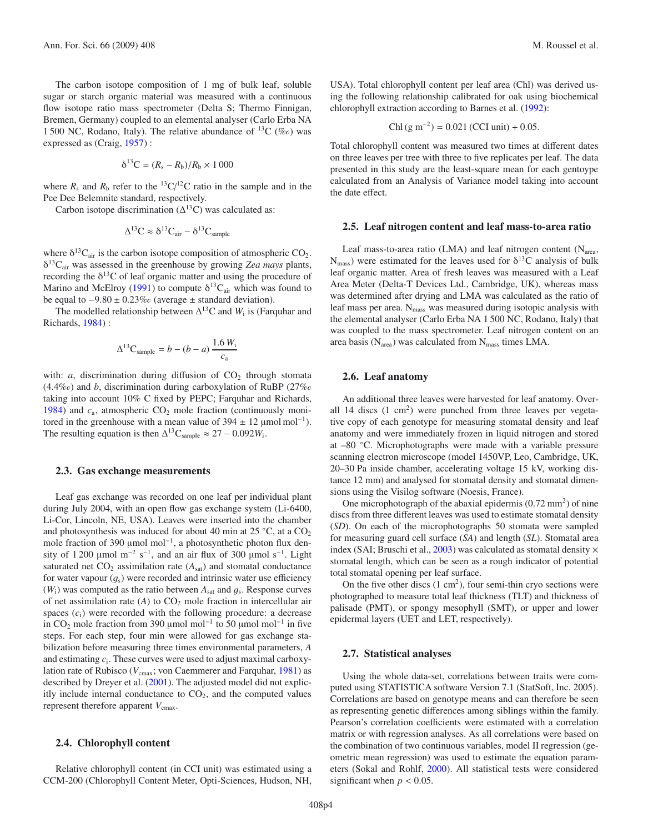The carbon isotope composition of 1 mg of bulk leaf, soluble sugar or starch organic material was measured with a continuous flow isotope ratio mass spectrometer (Delta S; Thermo Finnigan, Bremen, Germany) coupled to an elemental analyser (Carlo Erba NA 1 500 NC, Rodano, Italy). The relative abundance of  ${}^{13}C$  (%e) was expressed as (Craig, [1957](#page-8-11)) :

$$
\delta^{13}C = (R_s - R_b)/R_b \times 1000
$$

where  $R_s$  and  $R_b$  refer to the <sup>13</sup>C/<sup>12</sup>C ratio in the sample and in the Pee Dee Belemnite standard, respectively.

Carbon isotope discrimination  $(\Delta^{13}C)$  was calculated as:

$$
\Delta^{13}C \approx \delta^{13}C_{\text{air}} - \delta^{13}C_{\text{sample}}
$$

where  $\delta^{13}C_{air}$  is the carbon isotope composition of atmospheric CO<sub>2</sub>. δ13Cair was assessed in the greenhouse by growing *Zea mays* plants, recording the  $\delta^{13}$ C of leaf organic matter and using the procedure of Marino and McElroy [\(1991](#page-9-13)) to compute  $\delta^{13}C_{air}$  which was found to be equal to  $-9.80 \pm 0.23\%$  (average  $\pm$  standard deviation).

The modelled relationship between  $\Delta^{13}$ C and *W*<sub>i</sub> is (Farquhar and Richards, [1984](#page-8-0)) :

$$
\Delta^{13}\text{C}_{\text{sample}} = b - (b - a) \frac{1.6 \, W_i}{c_a}
$$

with:  $a$ , discrimination during diffusion of  $CO<sub>2</sub>$  through stomata  $(4.4\%)$  and *b*, discrimination during carboxylation of RuBP (27% taking into account 10% C fixed by PEPC; Farquhar and Richards, [1984\)](#page-8-0) and  $c_a$ , atmospheric  $CO_2$  mole fraction (continuously monitored in the greenhouse with a mean value of 394  $\pm$  12 µmol mol<sup>-1</sup>). The resulting equation is then  $\Delta^{13}C_{\text{sample}} \approx 27 - 0.092W_i$ .

#### **2.3. Gas exchange measurements**

Leaf gas exchange was recorded on one leaf per individual plant during July 2004, with an open flow gas exchange system (Li-6400, Li-Cor, Lincoln, NE, USA). Leaves were inserted into the chamber and photosynthesis was induced for about 40 min at 25  $°C$ , at a  $CO<sub>2</sub>$ mole fraction of 390 μmol mol<sup>-1</sup>, a photosynthetic photon flux density of 1 200 µmol m<sup>-2</sup> s<sup>-1</sup>, and an air flux of 300 µmol s<sup>-1</sup>. Light saturated net  $CO_2$  assimilation rate  $(A<sub>sat</sub>)$  and stomatal conductance for water vapour  $(q_s)$  were recorded and intrinsic water use efficiency  $(W_i)$  was computed as the ratio between  $A_{sat}$  and  $g_s$ . Response curves of net assimilation rate  $(A)$  to  $CO<sub>2</sub>$  mole fraction in intercellular air spaces (*c*i) were recorded with the following procedure: a decrease in CO<sub>2</sub> mole fraction from 390 µmol mol<sup>-1</sup> to 50 µmol mol<sup>-1</sup> in five steps. For each step, four min were allowed for gas exchange stabilization before measuring three times environmental parameters, *A* and estimating *c*i. These curves were used to adjust maximal carboxylation rate of Rubisco ( $V_{\text{cmax}}$ ; von Caemmerer and Farquhar, [1981\)](#page-9-14) as described by Dreyer et al. [\(2001](#page-8-12)). The adjusted model did not explicitly include internal conductance to  $CO<sub>2</sub>$ , and the computed values represent therefore apparent  $V_{\text{cmax}}$ .

#### **2.4. Chlorophyll content**

Relative chlorophyll content (in CCI unit) was estimated using a CCM-200 (Chlorophyll Content Meter, Opti-Sciences, Hudson, NH, USA). Total chlorophyll content per leaf area (Chl) was derived using the following relationship calibrated for oak using biochemical chlorophyll extraction according to Barnes et al. [\(1992](#page-8-13)):

$$
Chl(g m^{-2}) = 0.021 (CCI unit) + 0.05.
$$

Total chlorophyll content was measured two times at different dates on three leaves per tree with three to five replicates per leaf. The data presented in this study are the least-square mean for each gentoype calculated from an Analysis of Variance model taking into account the date effect.

#### **2.5. Leaf nitrogen content and leaf mass-to-area ratio**

Leaf mass-to-area ratio (LMA) and leaf nitrogen content ( $N_{area}$ ,  $N<sub>mass</sub>$ ) were estimated for the leaves used for  $\delta^{13}$ C analysis of bulk leaf organic matter. Area of fresh leaves was measured with a Leaf Area Meter (Delta-T Devices Ltd., Cambridge, UK), whereas mass was determined after drying and LMA was calculated as the ratio of leaf mass per area.  $N_{\text{mass}}$  was measured during isotopic analysis with the elemental analyser (Carlo Erba NA 1 500 NC, Rodano, Italy) that was coupled to the mass spectrometer. Leaf nitrogen content on an area basis ( $N_{area}$ ) was calculated from  $N_{mass}$  times LMA.

## **2.6. Leaf anatomy**

An additional three leaves were harvested for leaf anatomy. Overall 14 discs  $(1 \text{ cm}^2)$  were punched from three leaves per vegetative copy of each genotype for measuring stomatal density and leaf anatomy and were immediately frozen in liquid nitrogen and stored at –80 ◦C. Microphotographs were made with a variable pressure scanning electron microscope (model 1450VP, Leo, Cambridge, UK, 20–30 Pa inside chamber, accelerating voltage 15 kV, working distance 12 mm) and analysed for stomatal density and stomatal dimensions using the Visilog software (Noesis, France).

One microphotograph of the abaxial epidermis  $(0.72 \text{ mm}^2)$  of nine discs from three different leaves was used to estimate stomatal density (*SD*). On each of the microphotographs 50 stomata were sampled for measuring guard cell surface (*SA*) and length (*SL*). Stomatal area index (SAI; Bruschi et al., [2003\)](#page-8-14) was calculated as stomatal density  $\times$ stomatal length, which can be seen as a rough indicator of potential total stomatal opening per leaf surface.

On the five other discs  $(1 \text{ cm}^2)$ , four semi-thin cryo sections were photographed to measure total leaf thickness (TLT) and thickness of palisade (PMT), or spongy mesophyll (SMT), or upper and lower epidermal layers (UET and LET, respectively).

#### **2.7. Statistical analyses**

Using the whole data-set, correlations between traits were computed using STATISTICA software Version 7.1 (StatSoft, Inc. 2005). Correlations are based on genotype means and can therefore be seen as representing genetic differences among siblings within the family. Pearson's correlation coefficients were estimated with a correlation matrix or with regression analyses. As all correlations were based on the combination of two continuous variables, model II regression (geometric mean regression) was used to estimate the equation parameters (Sokal and Rohlf, [2000](#page-9-15)). All statistical tests were considered significant when  $p < 0.05$ .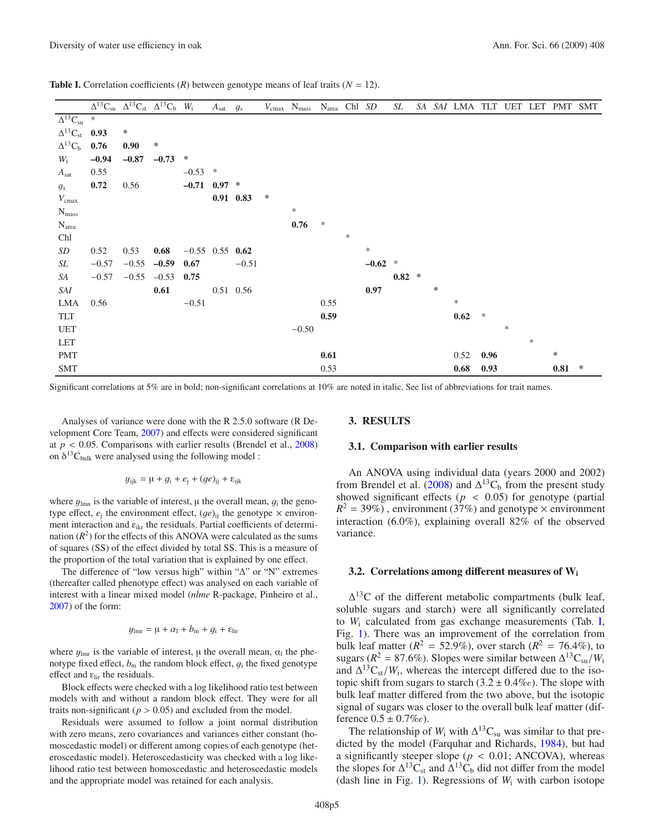<span id="page-4-0"></span>

| <b>Table I.</b> Correlation coefficients $(R)$ between genotype means of leaf traits $(N = 12)$ . |  |  |  |  |  |  |  |  |  |  |
|---------------------------------------------------------------------------------------------------|--|--|--|--|--|--|--|--|--|--|
|---------------------------------------------------------------------------------------------------|--|--|--|--|--|--|--|--|--|--|

|                          | $\Delta^{13}C_{su}$ $\Delta^{13}C_{st}$ $\Delta^{13}C_b$ $W_i$ |                   |                      |                   | $A_{\rm sat}$ | $g_{\rm s}$ |   | $V_{\rm cmax}$ $\,$ $N_{\rm mass}$ $\,$ $\,$ $N_{\rm area}$ $\,$ $\,$ Ch1 $\,$ $\,SD$ |        |        |           | SL       |   | SA SAI LMA TLT UET LET PMT SMT |        |        |        |      |   |
|--------------------------|----------------------------------------------------------------|-------------------|----------------------|-------------------|---------------|-------------|---|---------------------------------------------------------------------------------------|--------|--------|-----------|----------|---|--------------------------------|--------|--------|--------|------|---|
| $\Delta^{13}C_{su}$      | $\ast$                                                         |                   |                      |                   |               |             |   |                                                                                       |        |        |           |          |   |                                |        |        |        |      |   |
| $\Delta^{13}C_{st}$ 0.93 |                                                                | $\ast$            |                      |                   |               |             |   |                                                                                       |        |        |           |          |   |                                |        |        |        |      |   |
| $\Delta^{13}C_b$         | 0.76                                                           | 0.90 <sub>1</sub> | $\ast$               |                   |               |             |   |                                                                                       |        |        |           |          |   |                                |        |        |        |      |   |
| $W_i$                    | $-0.94$                                                        | $-0.87$           | $-0.73$              | ∗                 |               |             |   |                                                                                       |        |        |           |          |   |                                |        |        |        |      |   |
| $A_{\text{sat}}$         | 0.55                                                           |                   |                      | $-0.53$ *         |               |             |   |                                                                                       |        |        |           |          |   |                                |        |        |        |      |   |
| $g_{\rm s}$              | 0.72                                                           | 0.56              |                      | $-0.71$ 0.97 $*$  |               |             |   |                                                                                       |        |        |           |          |   |                                |        |        |        |      |   |
| $V_{\text{cmax}}$        |                                                                |                   |                      |                   |               | $0.91$ 0.83 | ∗ |                                                                                       |        |        |           |          |   |                                |        |        |        |      |   |
| $N_{\rm mass}$           |                                                                |                   |                      |                   |               |             |   | $\ast$                                                                                |        |        |           |          |   |                                |        |        |        |      |   |
| $N_{area}$               |                                                                |                   |                      |                   |               |             |   | 0.76                                                                                  | $\ast$ |        |           |          |   |                                |        |        |        |      |   |
| Chl                      |                                                                |                   |                      |                   |               |             |   |                                                                                       |        | $\ast$ |           |          |   |                                |        |        |        |      |   |
| SD                       | 0.52                                                           | 0.53              | 0.68                 | $-0.55$ 0.55 0.62 |               |             |   |                                                                                       |        |        | $\ast$    |          |   |                                |        |        |        |      |   |
| SL                       | $-0.57$                                                        |                   | $-0.55$ $-0.59$      | 0.67              |               | $-0.51$     |   |                                                                                       |        |        | $-0.62$ * |          |   |                                |        |        |        |      |   |
| SA                       | $-0.57$                                                        |                   | $-0.55$ $-0.53$ 0.75 |                   |               |             |   |                                                                                       |        |        |           | $0.82$ * |   |                                |        |        |        |      |   |
| SAI                      |                                                                |                   | 0.61                 |                   | 0.51 0.56     |             |   |                                                                                       |        |        | 0.97      |          | ∗ |                                |        |        |        |      |   |
| LMA                      | 0.56                                                           |                   |                      | $-0.51$           |               |             |   |                                                                                       | 0.55   |        |           |          |   | $\ast$                         |        |        |        |      |   |
| TLT                      |                                                                |                   |                      |                   |               |             |   |                                                                                       | 0.59   |        |           |          |   | 0.62                           | $\ast$ |        |        |      |   |
| <b>UET</b>               |                                                                |                   |                      |                   |               |             |   | $-0.50$                                                                               |        |        |           |          |   |                                |        | $\ast$ |        |      |   |
| LET                      |                                                                |                   |                      |                   |               |             |   |                                                                                       |        |        |           |          |   |                                |        |        | $\ast$ |      |   |
| <b>PMT</b>               |                                                                |                   |                      |                   |               |             |   |                                                                                       | 0.61   |        |           |          |   | 0.52                           | 0.96   |        |        | ∗    |   |
| <b>SMT</b>               |                                                                |                   |                      |                   |               |             |   |                                                                                       | 0.53   |        |           |          |   | 0.68                           | 0.93   |        |        | 0.81 | ∗ |

Significant correlations at 5% are in bold; non-significant correlations at 10% are noted in italic. See list of abbreviations for trait names.

Analyses of variance were done with the R 2.5.0 software (R Development Core Team, [2007](#page-9-16)) and effects were considered significant at  $p < 0.05$ . Comparisons with earlier results (Brendel et al., [2008](#page-8-3)) on  $\delta^{13}C_{bulk}$  were analysed using the following model :

$$
y_{ijk} = \mu + g_i + e_j + (ge)_{ij} + \varepsilon_{ijk}
$$

where  $y_{lmn}$  is the variable of interest,  $\mu$  the overall mean,  $g_i$  the genotype effect,  $e_i$  the environment effect,  $(qe)_{ii}$  the genotype  $\times$  environment interaction and  $\varepsilon_{ikr}$  the residuals. Partial coefficients of determination  $(R^2)$  for the effects of this ANOVA were calculated as the sums of squares (SS) of the effect divided by total SS. This is a measure of the proportion of the total variation that is explained by one effect.

The difference of "low versus high" within "Δ" or "N" extremes (thereafter called phenotype effect) was analysed on each variable of interest with a linear mixed model (*nlme* R-package, Pinheiro et al., [2007](#page-9-17)) of the form:

$$
y_{\text{lmr}} = \mu + \alpha_1 + b_{\text{m}} + g_{\text{i}} + \varepsilon_{\text{lin}}
$$

where  $y_{\text{lmr}}$  is the variable of interest, μ the overall mean,  $\alpha_{\text{l}}$  the phenotype fixed effect,  $b_m$  the random block effect,  $g_i$  the fixed genotype effect and  $\varepsilon_{\text{lir}}$  the residuals.

Block effects were checked with a log likelihood ratio test between models with and without a random block effect. They were for all traits non-significant ( $p > 0.05$ ) and excluded from the model.

Residuals were assumed to follow a joint normal distribution with zero means, zero covariances and variances either constant (homoscedastic model) or different among copies of each genotype (heteroscedastic model). Heteroscedasticity was checked with a log likelihood ratio test between homoscedastic and heteroscedastic models and the appropriate model was retained for each analysis.

### **3. RESULTS**

#### **3.1. Comparison with earlier results**

An ANOVA using individual data (years 2000 and 2002) from Brendel et al. [\(2008\)](#page-8-3) and  $\Delta^{13}C_b$  from the present study showed significant effects ( $p < 0.05$ ) for genotype (partial  $R^2 = 39\%$ ), environment (37%) and genotype  $\times$  environment interaction (6.0%), explaining overall 82% of the observed variance.

## **3.2. Correlations among di**ff**erent measures of Wi**

 $\Delta^{13}$ C of the different metabolic compartments (bulk leaf, soluble sugars and starch) were all significantly correlated to *W*<sup>i</sup> calculated from gas exchange measurements (Tab. [I,](#page-4-0) Fig. [1\)](#page-5-0). There was an improvement of the correlation from bulk leaf matter ( $R^2 = 52.9\%$ ), over starch ( $R^2 = 76.4\%$ ), to sugars ( $R^2 = 87.6\%$ ). Slopes were similar between  $\Delta^{13}C_{\rm su}/W_i$ and  $\Delta^{13}C_{st}/W_i$ , whereas the intercept differed due to the isotopic shift from sugars to starch  $(3.2 \pm 0.4\%)$ . The slope with bulk leaf matter differed from the two above, but the isotopic signal of sugars was closer to the overall bulk leaf matter (difference  $0.5 \pm 0.7\%$ o.

The relationship of  $W_i$  with  $\Delta^{13}C_{su}$  was similar to that predicted by the model (Farquhar and Richards, [1984](#page-8-0)), but had a significantly steeper slope ( $p < 0.01$ ; ANCOVA), whereas the slopes for  $\Delta^{13}C_{st}$  and  $\Delta^{13}C_b$  did not differ from the model (dash line in Fig. [1\)](#page-5-0). Regressions of  $W_i$  with carbon isotope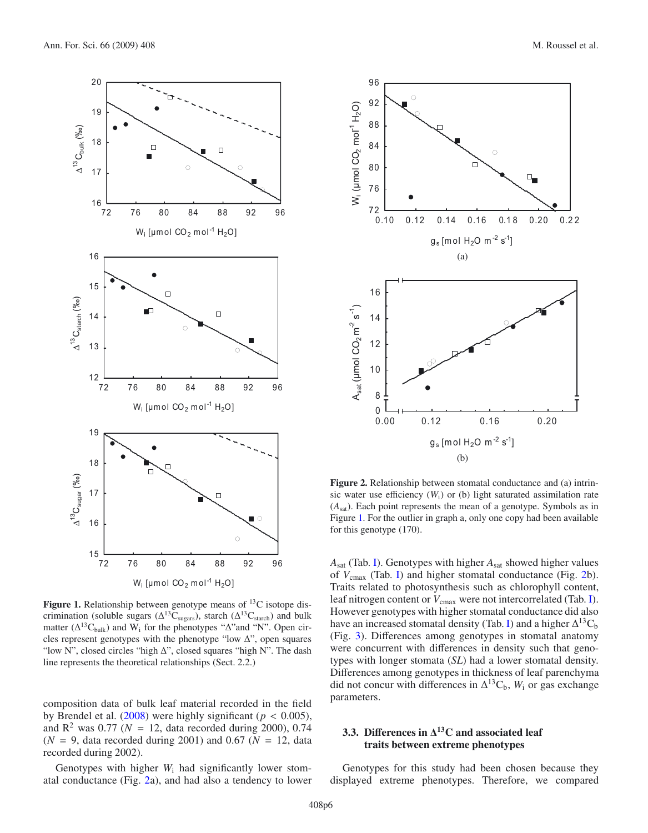

<span id="page-5-0"></span>Figure 1. Relationship between genotype means of <sup>13</sup>C isotope discrimination (soluble sugars  $(\Delta^{13}C_{\text{sugars}})$ , starch  $(\Delta^{13}C_{\text{start}})$  and bulk matter ( $\Delta^{13}C_{\text{bulk}}$ ) and W<sub>i</sub> for the phenotypes " $\Delta$ "and "N". Open circles represent genotypes with the phenotype "low  $\Delta$ ", open squares "low N", closed circles "high Δ", closed squares "high N". The dash line represents the theoretical relationships (Sect. 2.2.)

composition data of bulk leaf material recorded in the field by Brendel et al.  $(2008)$  were highly significant ( $p < 0.005$ ), and  $R^2$  was 0.77 ( $N = 12$ , data recorded during 2000), 0.74  $(N = 9)$ , data recorded during 2001) and 0.67 ( $N = 12$ , data recorded during 2002).

Genotypes with higher  $W_i$  had significantly lower stomatal conductance (Fig. [2a](#page-5-1)), and had also a tendency to lower



<span id="page-5-1"></span>**Figure 2.** Relationship between stomatal conductance and (a) intrinsic water use efficiency  $(W_i)$  or (b) light saturated assimilation rate (*A*sat). Each point represents the mean of a genotype. Symbols as in Figure [1.](#page-5-0) For the outlier in graph a, only one copy had been available for this genotype (170).

*A*sat (Tab. [I\)](#page-4-0). Genotypes with higher *A*sat showed higher values of  $V_{\text{cmax}}$  (Tab. [I\)](#page-4-0) and higher stomatal conductance (Fig. [2b](#page-5-1)). Traits related to photosynthesis such as chlorophyll content, leaf nitrogen content or  $V_{\text{cmax}}$  were not intercorrelated (Tab. [I\)](#page-4-0). However genotypes with higher stomatal conductance did also have an increased stomatal density (Tab. [I\)](#page-4-0) and a higher  $\Delta^{13}C_{b}$ (Fig. [3\)](#page-6-0). Differences among genotypes in stomatal anatomy were concurrent with differences in density such that genotypes with longer stomata (*SL*) had a lower stomatal density. Differences among genotypes in thickness of leaf parenchyma did not concur with differences in  $\Delta^{13}C_{b}$ ,  $W_{i}$  or gas exchange parameters.

# **3.3. Di**ff**erences in** Δ**13C and associated leaf traits between extreme phenotypes**

Genotypes for this study had been chosen because they displayed extreme phenotypes. Therefore, we compared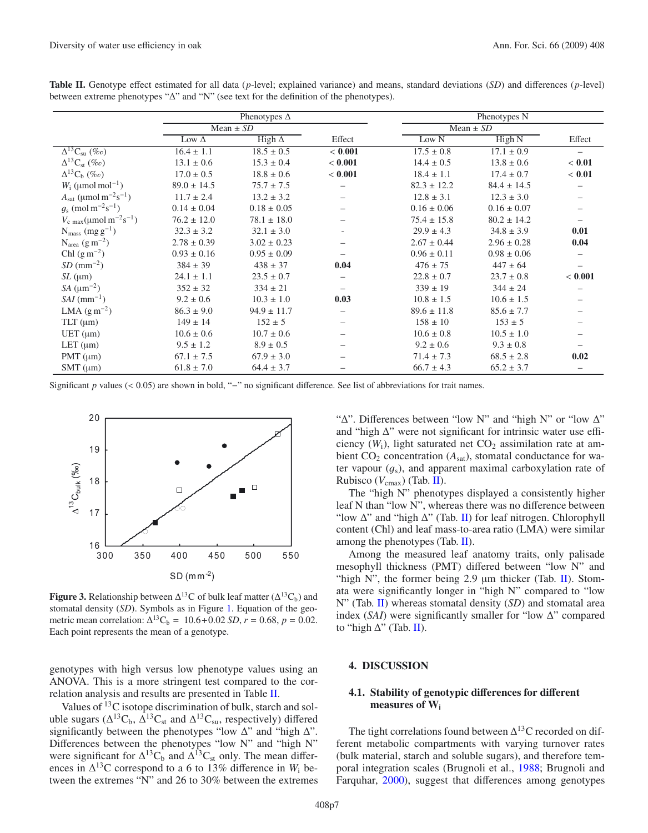|                                                                     |                               | Phenotypes $\Delta$ |                          | Phenotypes N               |                 |         |  |  |  |  |
|---------------------------------------------------------------------|-------------------------------|---------------------|--------------------------|----------------------------|-----------------|---------|--|--|--|--|
|                                                                     |                               | Mean $\pm$ SD       |                          | Mean $\pm$ $\overline{SD}$ |                 |         |  |  |  |  |
|                                                                     | High $\Delta$<br>Low $\Delta$ |                     | Effect                   | Low N                      | High N          | Effect  |  |  |  |  |
| $\Delta^{13}C_{\rm su}$ (%o)                                        | $16.4 \pm 1.1$                | $18.5 \pm 0.5$      | < 0.001                  | $17.5 \pm 0.8$             | $17.1 \pm 0.9$  |         |  |  |  |  |
| $\Delta^{13}C_{\rm st}$ (%o)                                        | $13.1 \pm 0.6$                | $15.3 \pm 0.4$      | < 0.001                  | $14.4 \pm 0.5$             | $13.8 \pm 0.6$  | < 0.01  |  |  |  |  |
| $\Delta^{13}C_{b}$ (%e)                                             | $17.0 \pm 0.5$                | $18.8 \pm 0.6$      | < 0.001                  | $18.4 \pm 1.1$             | $17.4 \pm 0.7$  | < 0.01  |  |  |  |  |
| $W_i$ (µmol mol <sup>-1</sup> )                                     | $89.0 \pm 14.5$               | $75.7 \pm 7.5$      |                          | $82.3 \pm 12.2$            | $84.4 \pm 14.5$ |         |  |  |  |  |
| $A_{\text{sat}} \, (\mu \text{mol} \, \text{m}^{-2} \text{s}^{-1})$ | $11.7 \pm 2.4$                | $13.2 \pm 3.2$      |                          | $12.8 \pm 3.1$             | $12.3 \pm 3.0$  |         |  |  |  |  |
| $g_s \text{ (mol m}^{-2} \text{s}^{-1})$                            | $0.14 \pm 0.04$               | $0.18 \pm 0.05$     |                          | $0.16 \pm 0.06$            | $0.16 \pm 0.07$ |         |  |  |  |  |
| $V_{\rm c \, max} (\mu \text{mol} \, \text{m}^{-2} \text{s}^{-1})$  | $76.2 \pm 12.0$               | $78.1 \pm 18.0$     |                          | $75.4 \pm 15.8$            | $80.2 \pm 14.2$ |         |  |  |  |  |
| $N_{mass}$ (mg $g^{-1}$ )                                           | $32.3 \pm 3.2$                | $32.1 \pm 3.0$      | $\overline{\phantom{a}}$ | $29.9 \pm 4.3$             | $34.8 \pm 3.9$  | 0.01    |  |  |  |  |
| $N_{area}$ (g m <sup>-2</sup> )                                     | $2.78 \pm 0.39$               | $3.02 \pm 0.23$     |                          | $2.67 \pm 0.44$            | $2.96 \pm 0.28$ | 0.04    |  |  |  |  |
| Chl $(g m^{-2})$                                                    | $0.93 \pm 0.16$               | $0.95 \pm 0.09$     |                          | $0.96 \pm 0.11$            | $0.98 \pm 0.06$ |         |  |  |  |  |
| $SD$ (mm <sup>-2</sup> )                                            | $384 \pm 39$                  | $438 \pm 37$        | 0.04                     | $476 \pm 75$               | $447 \pm 64$    |         |  |  |  |  |
| $SL$ ( $\mu$ m)                                                     | $24.1 \pm 1.1$                | $23.5 \pm 0.7$      |                          | $22.8 \pm 0.7$             | $23.7 \pm 0.8$  | < 0.001 |  |  |  |  |
| SA $(\mu m^{-2})$                                                   | $352 \pm 32$                  | $334 \pm 21$        |                          | $339 \pm 19$               | $344 \pm 24$    |         |  |  |  |  |
| $SAI$ (mm <sup>-1</sup> )                                           | $9.2 \pm 0.6$                 | $10.3 \pm 1.0$      | 0.03                     | $10.8 \pm 1.5$             | $10.6 \pm 1.5$  |         |  |  |  |  |
| LMA $(g m^{-2})$                                                    | $86.3 \pm 9.0$                | $94.9 \pm 11.7$     |                          | $89.6 \pm 11.8$            | $85.6 \pm 7.7$  |         |  |  |  |  |
| $TLT$ ( $\mu$ m)                                                    | $149 \pm 14$                  | $152 \pm 5$         |                          | $158 \pm 10$               | $153 \pm 5$     |         |  |  |  |  |
| $UET(\mu m)$                                                        | $10.6 \pm 0.6$                | $10.7 \pm 0.6$      |                          | $10.6 \pm 0.8$             | $10.5 \pm 1.0$  |         |  |  |  |  |
| LET $(\mu m)$                                                       | $9.5 \pm 1.2$                 | $8.9 \pm 0.5$       |                          | $9.2 \pm 0.6$              | $9.3 \pm 0.8$   |         |  |  |  |  |
| $PMT(\mu m)$                                                        | $67.1 \pm 7.5$                | $67.9 \pm 3.0$      |                          | $71.4 \pm 7.3$             | $68.5 \pm 2.8$  | 0.02    |  |  |  |  |
| $SMT$ ( $\mu$ m)                                                    | $61.8 \pm 7.0$                | $64.4 \pm 3.7$      |                          | $66.7 \pm 4.3$             | $65.2 \pm 3.7$  |         |  |  |  |  |

<span id="page-6-1"></span>**Table II.** Genotype effect estimated for all data (*p*-level; explained variance) and means, standard deviations (*SD*) and differences (*p*-level) between extreme phenotypes "Δ" and "N" (see text for the definition of the phenotypes).

Significant *p* values (< 0.05) are shown in bold, "−" no significant difference. See list of abbreviations for trait names.

<span id="page-6-0"></span>

**Figure 3.** Relationship between  $\Delta^{13}$ C of bulk leaf matter ( $\Delta^{13}$ C<sub>b</sub>) and stomatal density (*SD*). Symbols as in Figure [1.](#page-5-0) Equation of the geometric mean correlation:  $\Delta^{13}C_b = 10.6 + 0.02 SD$ ,  $r = 0.68$ ,  $p = 0.02$ . Each point represents the mean of a genotype.

genotypes with high versus low phenotype values using an ANOVA. This is a more stringent test compared to the correlation analysis and results are presented in Table [II.](#page-6-1)

Values of  $^{13}$ C isotope discrimination of bulk, starch and soluble sugars ( $\Delta^{13}C_b$ ,  $\Delta^{13}C_{st}$  and  $\Delta^{13}C_{su}$ , respectively) differed significantly between the phenotypes "low  $\Delta$ " and "high  $\Delta$ ". Differences between the phenotypes "low N" and "high N" were significant for  $\Delta^{13}C_b$  and  $\Delta^{13}C_{st}$  only. The mean differences in  $\Delta^{13}$ C correspond to a 6 to 13% difference in  $W_i$  between the extremes "N" and 26 to 30% between the extremes

" $\Delta$ ". Differences between "low N" and "high N" or "low  $\Delta$ " and "high Δ" were not significant for intrinsic water use efficiency  $(W_i)$ , light saturated net  $CO_2$  assimilation rate at ambient  $CO_2$  concentration ( $A_{sat}$ ), stomatal conductance for water vapour  $(g_s)$ , and apparent maximal carboxylation rate of Rubisco ( $V_{\text{cmax}}$ ) (Tab. [II\)](#page-6-1).

The "high N" phenotypes displayed a consistently higher leaf N than "low N", whereas there was no difference between "low  $\Delta$ " and "high  $\Delta$ " (Tab. [II\)](#page-6-1) for leaf nitrogen. Chlorophyll content (Chl) and leaf mass-to-area ratio (LMA) were similar among the phenotypes (Tab. [II\)](#page-6-1).

Among the measured leaf anatomy traits, only palisade mesophyll thickness (PMT) differed between "low N" and "high N", the former being  $2.9 \mu m$  thicker (Tab. [II\)](#page-6-1). Stomata were significantly longer in "high N" compared to "low N" (Tab. [II\)](#page-6-1) whereas stomatal density (*SD*) and stomatal area index (*SAI*) were significantly smaller for "low Δ" compared to "high  $\Delta$ " (Tab. [II\)](#page-6-1).

## **4. DISCUSSION**

# **4.1. Stability of genotypic di**ff**erences for di**ff**erent measures of W<sup>i</sup>**

The tight correlations found between  $\Delta^{13}$ C recorded on different metabolic compartments with varying turnover rates (bulk material, starch and soluble sugars), and therefore temporal integration scales (Brugnoli et al., [1988;](#page-8-9) Brugnoli and Farquhar, [2000\)](#page-8-15), suggest that differences among genotypes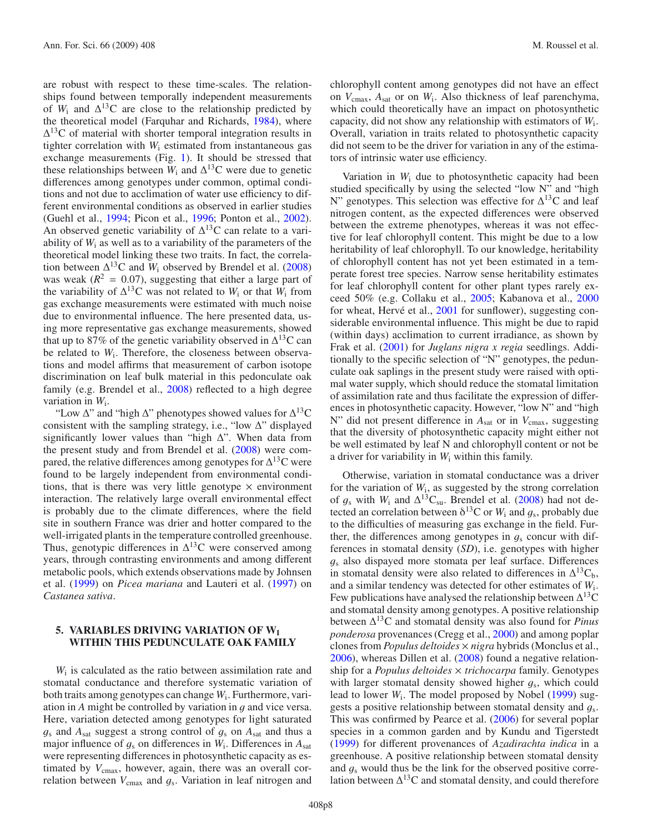are robust with respect to these time-scales. The relationships found between temporally independent measurements of  $W_i$  and  $\Delta^{13}$ C are close to the relationship predicted by the theoretical model (Farquhar and Richards, [1984\)](#page-8-0), where  $\Delta^{13}$ C of material with shorter temporal integration results in tighter correlation with *W*<sup>i</sup> estimated from instantaneous gas exchange measurements (Fig. [1\)](#page-5-0). It should be stressed that these relationships between  $W_i$  and  $\Delta^{13}$ C were due to genetic differences among genotypes under common, optimal conditions and not due to acclimation of water use efficiency to different environmental conditions as observed in earlier studies (Guehl et al., [1994;](#page-8-16) Picon et al., [1996](#page-9-18); Ponton et al., [2002\)](#page-9-1). An observed genetic variability of  $\Delta^{13}$ C can relate to a variability of  $W_i$  as well as to a variability of the parameters of the theoretical model linking these two traits. In fact, the correlation between  $\Delta^{13}$ C and *W*<sub>i</sub> observed by Brendel et al. [\(2008](#page-8-3)) was weak  $(R^2 = 0.07)$ , suggesting that either a large part of the variability of  $\Delta^{13}$ C was not related to  $W_i$  or that  $W_i$  from gas exchange measurements were estimated with much noise due to environmental influence. The here presented data, using more representative gas exchange measurements, showed that up to 87% of the genetic variability observed in  $\Delta^{13}$ C can be related to  $W_i$ . Therefore, the closeness between observations and model affirms that measurement of carbon isotope discrimination on leaf bulk material in this pedonculate oak family (e.g. Brendel et al., [2008\)](#page-8-3) reflected to a high degree variation in *W*i.

"Low  $\Delta$ " and "high  $\Delta$ " phenotypes showed values for  $\Delta^{13}$ C consistent with the sampling strategy, i.e., "low  $\Delta$ " displayed significantly lower values than "high  $\Delta$ ". When data from the present study and from Brendel et al. [\(2008](#page-8-3)) were compared, the relative differences among genotypes for  $\Delta^{13}$ C were found to be largely independent from environmental conditions, that is there was very little genotype  $\times$  environment interaction. The relatively large overall environmental effect is probably due to the climate differences, where the field site in southern France was drier and hotter compared to the well-irrigated plants in the temperature controlled greenhouse. Thus, genotypic differences in  $\Delta^{13}$ C were conserved among years, through contrasting environments and among different metabolic pools, which extends observations made by Johnsen et al. [\(1999](#page-9-19)) on *Picea mariana* and Lauteri et al. [\(1997\)](#page-9-20) on *Castanea sativa*.

# **5. VARIABLES DRIVING VARIATION OF WI WITHIN THIS PEDUNCULATE OAK FAMILY**

*W*<sup>i</sup> is calculated as the ratio between assimilation rate and stomatal conductance and therefore systematic variation of both traits among genotypes can change *W*i. Furthermore, variation in *<sup>A</sup>* might be controlled by variation in g and vice versa. Here, variation detected among genotypes for light saturated  $g_s$  and  $A_{sat}$  suggest a strong control of  $g_s$  on  $A_{sat}$  and thus a major influence of <sup>g</sup><sup>s</sup> on differences in *<sup>W</sup>*i. Differences in *<sup>A</sup>*sat were representing differences in photosynthetic capacity as estimated by  $V_{\text{cmax}}$ , however, again, there was an overall correlation between  $V_{\text{cmax}}$  and  $g_s$ . Variation in leaf nitrogen and

chlorophyll content among genotypes did not have an effect on *V*cmax, *A*sat or on *W*i. Also thickness of leaf parenchyma, which could theoretically have an impact on photosynthetic capacity, did not show any relationship with estimators of *W*i. Overall, variation in traits related to photosynthetic capacity did not seem to be the driver for variation in any of the estimators of intrinsic water use efficiency.

Variation in *W*<sup>i</sup> due to photosynthetic capacity had been studied specifically by using the selected "low N" and "high N" genotypes. This selection was effective for  $\Delta^{13}$ C and leaf nitrogen content, as the expected differences were observed between the extreme phenotypes, whereas it was not effective for leaf chlorophyll content. This might be due to a low heritability of leaf chlorophyll. To our knowledge, heritability of chlorophyll content has not yet been estimated in a temperate forest tree species. Narrow sense heritability estimates for leaf chlorophyll content for other plant types rarely exceed 50% (e.g. Collaku et al., [2005](#page-8-17); Kabanova et al., [2000](#page-9-21) for wheat, Hervé et al., [2001](#page-9-22) for sunflower), suggesting considerable environmental influence. This might be due to rapid (within days) acclimation to current irradiance, as shown by Frak et al. [\(2001\)](#page-8-18) for *Juglans nigra x regia* seedlings. Additionally to the specific selection of "N" genotypes, the pedunculate oak saplings in the present study were raised with optimal water supply, which should reduce the stomatal limitation of assimilation rate and thus facilitate the expression of differences in photosynthetic capacity. However, "low N" and "high N" did not present difference in  $A<sub>sat</sub>$  or in  $V<sub>cmax</sub>$ , suggesting that the diversity of photosynthetic capacity might either not be well estimated by leaf N and chlorophyll content or not be a driver for variability in *W*<sup>i</sup> within this family.

Otherwise, variation in stomatal conductance was a driver for the variation of  $W_i$ , as suggested by the strong correlation of  $g_s$  with  $W_i$  and  $\Delta^{13}C_{su}$ . Brendel et al. [\(2008](#page-8-3)) had not detected an correlation between  $\delta^{13}$ C or *W*<sub>i</sub> and  $q_s$ , probably due to the difficulties of measuring gas exchange in the field. Further, the differences among genotypes in  $g_s$  concur with differences in stomatal density (*SD*), i.e. genotypes with higher  $g<sub>s</sub>$  also dispayed more stomata per leaf surface. Differences in stomatal density were also related to differences in  $\Delta^{13}C_{b}$ , and a similar tendency was detected for other estimates of *W*i. Few publications have analysed the relationship between  $\Delta^{13}C$ and stomatal density among genotypes. A positive relationship between Δ13C and stomatal density was also found for *Pinus ponderosa* provenances (Cregg et al., [2000\)](#page-8-1) and among poplar clones from *Populus deltoides* × *nigra* hybrids (Monclus et al., [2006\)](#page-9-23), whereas Dillen et al. [\(2008\)](#page-8-19) found a negative relationship for a *Populus deltoides* × *trichocarpa* family. Genotypes with larger stomatal density showed higher  $g_s$ , which could lead to lower *W*<sub>i</sub>. The model proposed by Nobel [\(1999\)](#page-9-9) suggests a positive relationship between stomatal density and  $q_s$ . This was confirmed by Pearce et al. [\(2006\)](#page-9-24) for several poplar species in a common garden and by Kundu and Tigerstedt [\(1999\)](#page-9-25) for different provenances of *Azadirachta indica* in a greenhouse. A positive relationship between stomatal density and  $q_s$  would thus be the link for the observed positive correlation between  $\Delta^{13}$ C and stomatal density, and could therefore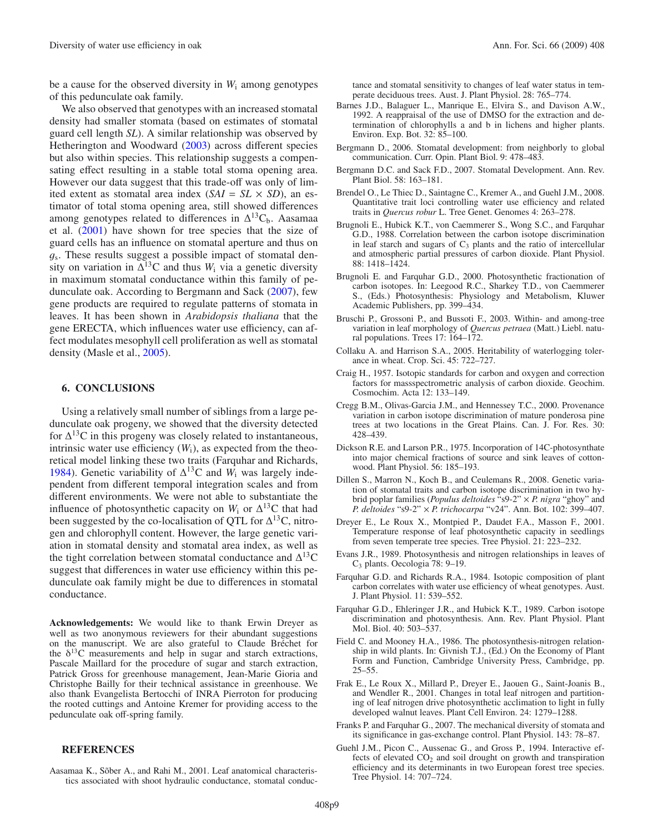be a cause for the observed diversity in *W*<sup>i</sup> among genotypes of this pedunculate oak family.

We also observed that genotypes with an increased stomatal density had smaller stomata (based on estimates of stomatal guard cell length *SL*). A similar relationship was observed by Hetherington and Woodward [\(2003](#page-9-26)) across different species but also within species. This relationship suggests a compensating effect resulting in a stable total stoma opening area. However our data suggest that this trade-off was only of limited extent as stomatal area index  $(SAI = SL \times SD)$ , an estimator of total stoma opening area, still showed differences among genotypes related to differences in  $\Delta^{13}C_{b}$ . Aasamaa et al. [\(2001](#page-8-8)) have shown for tree species that the size of guard cells has an influence on stomatal aperture and thus on  $q_s$ . These results suggest a possible impact of stomatal density on variation in  $\Delta^{13}$ C and thus  $W_i$  via a genetic diversity in maximum stomatal conductance within this family of pedunculate oak. According to Bergmann and Sack [\(2007\)](#page-8-20), few gene products are required to regulate patterns of stomata in leaves. It has been shown in *Arabidopsis thaliana* that the gene ERECTA, which influences water use efficiency, can affect modulates mesophyll cell proliferation as well as stomatal density (Masle et al., [2005](#page-9-27)).

## **6. CONCLUSIONS**

Using a relatively small number of siblings from a large pedunculate oak progeny, we showed that the diversity detected for  $\Delta^{13}$ C in this progeny was closely related to instantaneous, intrinsic water use efficiency  $(W_i)$ , as expected from the theoretical model linking these two traits (Farquhar and Richards, [1984\)](#page-8-0). Genetic variability of  $\Delta^{13}$ C and  $W_i$  was largely independent from different temporal integration scales and from different environments. We were not able to substantiate the influence of photosynthetic capacity on  $W_i$  or  $\Delta^{13}$ C that had been suggested by the co-localisation of OTL for  $\Delta^{13}$ C, nitrogen and chlorophyll content. However, the large genetic variation in stomatal density and stomatal area index, as well as the tight correlation between stomatal conductance and  $\Delta^{13}$ C suggest that differences in water use efficiency within this pedunculate oak family might be due to differences in stomatal conductance.

**Acknowledgements:** We would like to thank Erwin Dreyer as well as two anonymous reviewers for their abundant suggestions on the manuscript. We are also grateful to Claude Bréchet for the  $\delta^{13}$ C measurements and help in sugar and starch extractions, Pascale Maillard for the procedure of sugar and starch extraction, Patrick Gross for greenhouse management, Jean-Marie Gioria and Christophe Bailly for their technical assistance in greenhouse. We also thank Evangelista Bertocchi of INRA Pierroton for producing the rooted cuttings and Antoine Kremer for providing access to the pedunculate oak off-spring family.

## **REFERENCES**

<span id="page-8-8"></span>Aasamaa K., Sõber A., and Rahi M., 2001. Leaf anatomical characteristics associated with shoot hydraulic conductance, stomatal conductance and stomatal sensitivity to changes of leaf water status in temperate deciduous trees. Aust. J. Plant Physiol. 28: 765–774.

- <span id="page-8-13"></span>Barnes J.D., Balaguer L., Manrique E., Elvira S., and Davison A.W., 1992. A reappraisal of the use of DMSO for the extraction and determination of chlorophylls a and b in lichens and higher plants. Environ. Exp. Bot. 32: 85–100.
- <span id="page-8-6"></span>Bergmann D., 2006. Stomatal development: from neighborly to global communication. Curr. Opin. Plant Biol. 9: 478–483.
- <span id="page-8-20"></span>Bergmann D.C. and Sack F.D., 2007. Stomatal Development. Ann. Rev. Plant Biol. 58: 163–181.
- <span id="page-8-3"></span>Brendel O., Le Thiec D., Saintagne C., Kremer A., and Guehl J.M., 2008. Quantitative trait loci controlling water use efficiency and related traits in *Quercus robur* L. Tree Genet. Genomes 4: 263–278.
- <span id="page-8-9"></span>Brugnoli E., Hubick K.T., von Caemmerer S., Wong S.C., and Farquhar G.D., 1988. Correlation between the carbon isotope discrimination in leaf starch and sugars of  $C_3$  plants and the ratio of intercellular and atmospheric partial pressures of carbon dioxide. Plant Physiol. 88: 1418–1424.
- <span id="page-8-15"></span>Brugnoli E. and Farquhar G.D., 2000. Photosynthetic fractionation of carbon isotopes. In: Leegood R.C., Sharkey T.D., von Caemmerer S., (Eds.) Photosynthesis: Physiology and Metabolism, Kluwer Academic Publishers, pp. 399–434.
- <span id="page-8-14"></span>Bruschi P., Grossoni P., and Bussoti F., 2003. Within- and among-tree variation in leaf morphology of *Quercus petraea* (Matt.) Liebl. natural populations. Trees 17: 164–172.
- <span id="page-8-17"></span>Collaku A. and Harrison S.A., 2005. Heritability of waterlogging tolerance in wheat. Crop. Sci. 45: 722–727.
- <span id="page-8-11"></span>Craig H., 1957. Isotopic standards for carbon and oxygen and correction factors for massspectrometric analysis of carbon dioxide. Geochim. Cosmochim. Acta 12: 133–149.
- <span id="page-8-1"></span>Cregg B.M., Olivas-Garcia J.M., and Hennessey T.C., 2000. Provenance variation in carbon isotope discrimination of mature ponderosa pine trees at two locations in the Great Plains. Can. J. For. Res. 30: 428–439.
- <span id="page-8-10"></span>Dickson R.E. and Larson P.R., 1975. Incorporation of 14C-photosynthate into major chemical fractions of source and sink leaves of cottonwood. Plant Physiol. 56: 185–193.
- <span id="page-8-19"></span>Dillen S., Marron N., Koch B., and Ceulemans R., 2008. Genetic variation of stomatal traits and carbon isotope discrimination in two hybrid poplar families (*Populus deltoides* "s9-2" × *P. nigra* "ghoy" and *P. deltoides* "s9-2" × *P. trichocarpa* "v24". Ann. Bot. 102: 399–407.
- <span id="page-8-12"></span>Dreyer E., Le Roux X., Montpied P., Daudet F.A., Masson F., 2001. Temperature response of leaf photosynthetic capacity in seedlings from seven temperate tree species. Tree Physiol. 21: 223–232.
- <span id="page-8-5"></span>Evans J.R., 1989. Photosynthesis and nitrogen relationships in leaves of C3 plants. Oecologia 78: 9–19.
- <span id="page-8-0"></span>Farquhar G.D. and Richards R.A., 1984. Isotopic composition of plant carbon correlates with water use efficiency of wheat genotypes. Aust. J. Plant Physiol. 11: 539–552.
- <span id="page-8-2"></span>Farquhar G.D., Ehleringer J.R., and Hubick K.T., 1989. Carbon isotope discrimination and photosynthesis. Ann. Rev. Plant Physiol. Plant Mol. Biol. 40: 503–537.
- <span id="page-8-4"></span>Field C. and Mooney H.A., 1986. The photosynthesis-nitrogen relationship in wild plants. In: Givnish T.J., (Ed.) On the Economy of Plant Form and Function, Cambridge University Press, Cambridge, pp. 25–55.
- <span id="page-8-18"></span>Frak E., Le Roux X., Millard P., Dreyer E., Jaouen G., Saint-Joanis B., and Wendler R., 2001. Changes in total leaf nitrogen and partitioning of leaf nitrogen drive photosynthetic acclimation to light in fully developed walnut leaves. Plant Cell Environ. 24: 1279–1288.
- <span id="page-8-7"></span>Franks P. and Farquhar G., 2007. The mechanical diversity of stomata and its significance in gas-exchange control. Plant Physiol. 143: 78–87.
- <span id="page-8-16"></span>Guehl J.M., Picon C., Aussenac G., and Gross P., 1994. Interactive effects of elevated  $CO<sub>2</sub>$  and soil drought on growth and transpiration efficiency and its determinants in two European forest tree species. Tree Physiol. 14: 707–724.